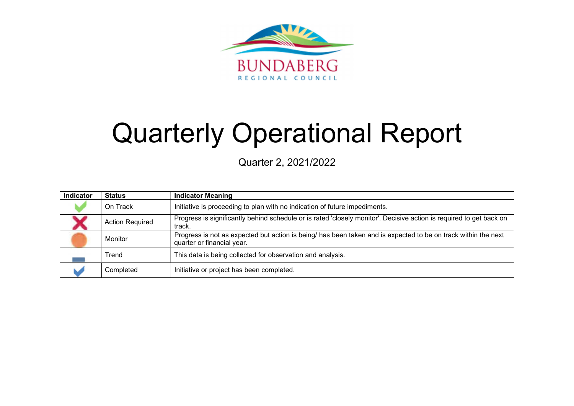

# Quarterly Operational Report

Quarter 2, 2021/2022

| Indicator | <b>Status</b>          | <b>Indicator Meaning</b>                                                                                                                     |
|-----------|------------------------|----------------------------------------------------------------------------------------------------------------------------------------------|
|           | On Track               | Initiative is proceeding to plan with no indication of future impediments.                                                                   |
|           | <b>Action Required</b> | Progress is significantly behind schedule or is rated 'closely monitor'. Decisive action is required to get back on<br>track.                |
|           | <b>Monitor</b>         | Progress is not as expected but action is being/ has been taken and is expected to be on track within the next<br>quarter or financial year. |
|           | Trend                  | This data is being collected for observation and analysis.                                                                                   |
|           | Completed              | Initiative or project has been completed.                                                                                                    |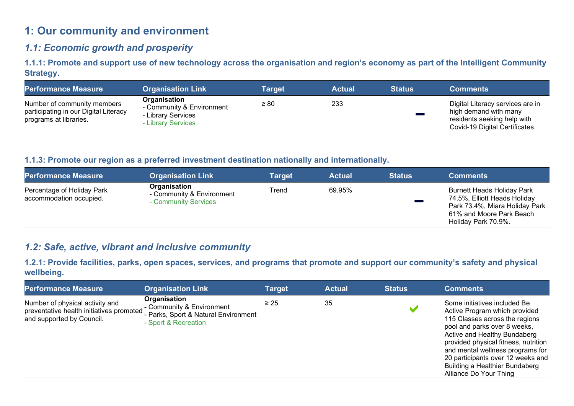# 1: Our community and environment

## 1.1: Economic growth and prosperity

1.1.1: Promote and support use of new technology across the organisation and region's economy as part of the Intelligent Community Strategy.

| <b>Performance Measure</b>                                                                     | <b>Organisation Link</b>                                                              | <b>Target</b> | <b>Actual</b> | <b>Status</b> | <b>Comments</b>                                                                                                            |
|------------------------------------------------------------------------------------------------|---------------------------------------------------------------------------------------|---------------|---------------|---------------|----------------------------------------------------------------------------------------------------------------------------|
| Number of community members<br>participating in our Digital Literacy<br>programs at libraries. | Organisation<br>- Community & Environment<br>- Library Services<br>- Library Services | $\geq 80$     | 233           |               | Digital Literacy services are in<br>high demand with many<br>residents seeking help with<br>Covid-19 Digital Certificates. |

## 1.1.3: Promote our region as a preferred investment destination nationally and internationally.

| <b>Performance Measure</b>                            | <b>Organisation Link</b>                                          | <b>Target</b> | <b>Actual</b> | <b>Status</b> | <b>Comments</b>                                                                                                                                        |
|-------------------------------------------------------|-------------------------------------------------------------------|---------------|---------------|---------------|--------------------------------------------------------------------------------------------------------------------------------------------------------|
| Percentage of Holiday Park<br>accommodation occupied. | Organisation<br>- Community & Environment<br>- Community Services | Trend         | 69.95%        |               | <b>Burnett Heads Holiday Park</b><br>74.5%, Elliott Heads Holiday<br>Park 73.4%, Miara Holiday Park<br>61% and Moore Park Beach<br>Holiday Park 70.9%. |

## 1.2: Safe, active, vibrant and inclusive community

1.2.1: Provide facilities, parks, open spaces, services, and programs that promote and support our community's safety and physical wellbeing.

| <b>Performance Measure</b>                                                                               | <b>Organisation Link</b>                                                                                  | Target    | <b>Actual</b> | <b>Status</b> | <b>Comments</b>                                                                                                                                                                                                                                                                                                                              |
|----------------------------------------------------------------------------------------------------------|-----------------------------------------------------------------------------------------------------------|-----------|---------------|---------------|----------------------------------------------------------------------------------------------------------------------------------------------------------------------------------------------------------------------------------------------------------------------------------------------------------------------------------------------|
| Number of physical activity and<br>preventative health initiatives promoted<br>and supported by Council. | Organisation<br>- Community & Environment<br>- Parks, Sport & Natural Environment<br>- Sport & Recreation | $\geq 25$ | 35            |               | Some initiatives included Be<br>Active Program which provided<br>115 Classes across the regions<br>pool and parks over 8 weeks,<br>Active and Healthy Bundaberg<br>provided physical fitness, nutrition<br>and mental wellness programs for<br>20 participants over 12 weeks and<br>Building a Healthier Bundaberg<br>Alliance Do Your Thing |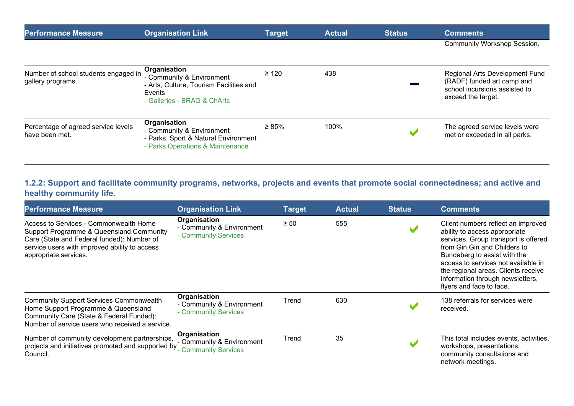| <b>Performance Measure</b>                                | <b>Organisation Link</b>                                                                                                      | <b>Target</b> | <b>Actual</b> | <b>Status</b> | <b>Comments</b>                                                                                                     |
|-----------------------------------------------------------|-------------------------------------------------------------------------------------------------------------------------------|---------------|---------------|---------------|---------------------------------------------------------------------------------------------------------------------|
|                                                           |                                                                                                                               |               |               |               | <b>Community Workshop Session.</b>                                                                                  |
| Number of school students engaged in<br>gallery programs. | Organisation<br>- Community & Environment<br>- Arts, Culture, Tourism Facilities and<br>Events<br>- Galleries - BRAG & ChArts | $\geq 120$    | 438           |               | Regional Arts Development Fund<br>(RADF) funded art camp and<br>school incursions assisted to<br>exceed the target. |
| Percentage of agreed service levels<br>have been met.     | Organisation<br>- Community & Environment<br>- Parks, Sport & Natural Environment<br>- Parks Operations & Maintenance         | $\geq 85\%$   | 100%          |               | The agreed service levels were<br>met or exceeded in all parks.                                                     |

## 1.2.2: Support and facilitate community programs, networks, projects and events that promote social connectedness; and active and healthy community life.

| <b>Performance Measure</b>                                                                                                                                                                                 | <b>Organisation Link</b>                                          | <b>Target</b> | <b>Actual</b> | <b>Status</b> | <b>Comments</b>                                                                                                                                                                                                                                                                                                           |
|------------------------------------------------------------------------------------------------------------------------------------------------------------------------------------------------------------|-------------------------------------------------------------------|---------------|---------------|---------------|---------------------------------------------------------------------------------------------------------------------------------------------------------------------------------------------------------------------------------------------------------------------------------------------------------------------------|
| Access to Services - Commonwealth Home<br>Support Programme & Queensland Community<br>Care (State and Federal funded): Number of<br>service users with improved ability to access<br>appropriate services. | Organisation<br>- Community & Environment<br>- Community Services | $\geq 50$     | 555           |               | Client numbers reflect an improved<br>ability to access appropriate<br>services. Group transport is offered<br>from Gin Gin and Childers to<br>Bundaberg to assist with the<br>access to services not available in<br>the regional areas. Clients receive<br>information through newsletters,<br>flyers and face to face. |
| <b>Community Support Services Commonwealth</b><br>Home Support Programme & Queensland<br>Community Care (State & Federal Funded):<br>Number of service users who received a service.                       | Organisation<br>- Community & Environment<br>- Community Services | Trend         | 630           |               | 138 referrals for services were<br>received.                                                                                                                                                                                                                                                                              |
| Number of community development partnerships,<br>projects and initiatives promoted and supported by<br>Council.                                                                                            | Organisation<br>- Community & Environment<br>- Community Services | Trend         | 35            |               | This total includes events, activities,<br>workshops, presentations,<br>community consultations and<br>network meetings.                                                                                                                                                                                                  |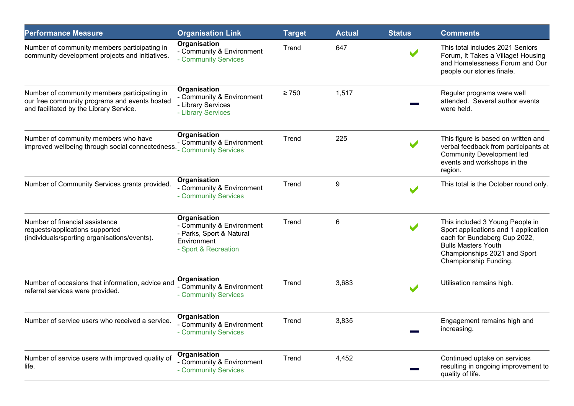| <b>Performance Measure</b>                                                                                                               | <b>Organisation Link</b>                                                                                     | <b>Target</b> | <b>Actual</b> | <b>Status</b> | <b>Comments</b>                                                                                                                                                                                |
|------------------------------------------------------------------------------------------------------------------------------------------|--------------------------------------------------------------------------------------------------------------|---------------|---------------|---------------|------------------------------------------------------------------------------------------------------------------------------------------------------------------------------------------------|
| Number of community members participating in<br>community development projects and initiatives.                                          | Organisation<br>- Community & Environment<br>- Community Services                                            | Trend         | 647           |               | This total includes 2021 Seniors<br>Forum, It Takes a Village! Housing<br>and Homelessness Forum and Our<br>people our stories finale.                                                         |
| Number of community members participating in<br>our free community programs and events hosted<br>and facilitated by the Library Service. | Organisation<br>- Community & Environment<br>- Library Services<br>- Library Services                        | $\geq 750$    | 1,517         |               | Regular programs were well<br>attended. Several author events<br>were held.                                                                                                                    |
| Number of community members who have<br>improved wellbeing through social connectedness.                                                 | Organisation<br>- Community & Environment<br>- Community Services                                            | Trend         | 225           |               | This figure is based on written and<br>verbal feedback from participants at<br><b>Community Development led</b><br>events and workshops in the<br>region.                                      |
| Number of Community Services grants provided.                                                                                            | Organisation<br>- Community & Environment<br>- Community Services                                            | Trend         | 9             |               | This total is the October round only.                                                                                                                                                          |
| Number of financial assistance<br>requests/applications supported<br>(individuals/sporting organisations/events).                        | Organisation<br>- Community & Environment<br>- Parks, Sport & Natural<br>Environment<br>- Sport & Recreation | Trend         | 6             |               | This included 3 Young People in<br>Sport applications and 1 application<br>each for Bundaberg Cup 2022,<br><b>Bulls Masters Youth</b><br>Championships 2021 and Sport<br>Championship Funding. |
| Number of occasions that information, advice and<br>referral services were provided.                                                     | Organisation<br>- Community & Environment<br>- Community Services                                            | Trend         | 3,683         |               | Utilisation remains high.                                                                                                                                                                      |
| Number of service users who received a service.                                                                                          | Organisation<br>- Community & Environment<br>- Community Services                                            | Trend         | 3,835         |               | Engagement remains high and<br>increasing.                                                                                                                                                     |
| Number of service users with improved quality of<br>life.                                                                                | Organisation<br>- Community & Environment<br>- Community Services                                            | Trend         | 4,452         |               | Continued uptake on services<br>resulting in ongoing improvement to<br>quality of life.                                                                                                        |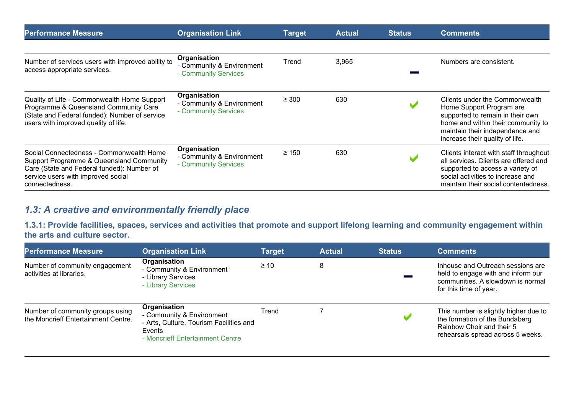| <b>Performance Measure</b>                                                                                                                                                                 | <b>Organisation Link</b>                                          | <b>Target</b> | <b>Actual</b> | <b>Status</b> | <b>Comments</b>                                                                                                                                                                                            |
|--------------------------------------------------------------------------------------------------------------------------------------------------------------------------------------------|-------------------------------------------------------------------|---------------|---------------|---------------|------------------------------------------------------------------------------------------------------------------------------------------------------------------------------------------------------------|
| Number of services users with improved ability to<br>access appropriate services.                                                                                                          | Organisation<br>- Community & Environment<br>- Community Services | Trend         | 3,965         |               | Numbers are consistent.                                                                                                                                                                                    |
| Quality of Life - Commonwealth Home Support<br>Programme & Queensland Community Care<br>(State and Federal funded): Number of service<br>users with improved quality of life.              | Organisation<br>- Community & Environment<br>- Community Services | $\geq 300$    | 630           |               | Clients under the Commonwealth<br>Home Support Program are<br>supported to remain in their own<br>home and within their community to<br>maintain their independence and<br>increase their quality of life. |
| Social Connectedness - Commonwealth Home<br>Support Programme & Queensland Community<br>Care (State and Federal funded): Number of<br>service users with improved social<br>connectedness. | Organisation<br>- Community & Environment<br>- Community Services | $\geq 150$    | 630           |               | Clients interact with staff throughout<br>all services. Clients are offered and<br>supported to access a variety of<br>social activities to increase and<br>maintain their social contentedness.           |

# 1.3: A creative and environmentally friendly place

1.3.1: Provide facilities, spaces, services and activities that promote and support lifelong learning and community engagement within the arts and culture sector.

| <b>Performance Measure</b>                                              | <b>Organisation Link</b>                                                                                                           | Target    | <b>Actual</b> | <b>Status</b> | <b>Comments</b>                                                                                                                           |
|-------------------------------------------------------------------------|------------------------------------------------------------------------------------------------------------------------------------|-----------|---------------|---------------|-------------------------------------------------------------------------------------------------------------------------------------------|
| Number of community engagement<br>activities at libraries.              | Organisation<br>- Community & Environment<br>- Library Services<br>- Library Services                                              | $\geq 10$ |               |               | Inhouse and Outreach sessions are<br>held to engage with and inform our<br>communities. A slowdown is normal<br>for this time of year.    |
| Number of community groups using<br>the Moncrieff Entertainment Centre. | Organisation<br>- Community & Environment<br>- Arts, Culture, Tourism Facilities and<br>Events<br>- Moncrieff Entertainment Centre | Trend     |               | M             | This number is slightly higher due to<br>the formation of the Bundaberg<br>Rainbow Choir and their 5<br>rehearsals spread across 5 weeks. |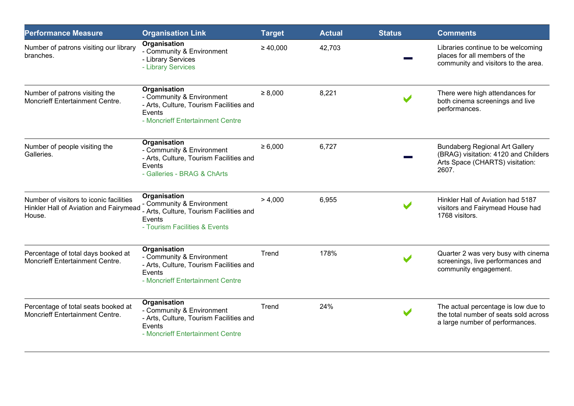| <b>Performance Measure</b>                                                                  | <b>Organisation Link</b>                                                                                                           | <b>Target</b> | <b>Actual</b> | <b>Status</b>        | <b>Comments</b>                                                                                                           |
|---------------------------------------------------------------------------------------------|------------------------------------------------------------------------------------------------------------------------------------|---------------|---------------|----------------------|---------------------------------------------------------------------------------------------------------------------------|
| Number of patrons visiting our library<br>branches.                                         | Organisation<br>- Community & Environment<br>- Library Services<br>- Library Services                                              | $\geq 40,000$ | 42,703        |                      | Libraries continue to be welcoming<br>places for all members of the<br>community and visitors to the area.                |
| Number of patrons visiting the<br>Moncrieff Entertainment Centre.                           | Organisation<br>- Community & Environment<br>- Arts, Culture, Tourism Facilities and<br>Events<br>- Moncrieff Entertainment Centre | $\geq 8,000$  | 8,221         | $\blacktriangledown$ | There were high attendances for<br>both cinema screenings and live<br>performances.                                       |
| Number of people visiting the<br>Galleries.                                                 | Organisation<br>- Community & Environment<br>- Arts, Culture, Tourism Facilities and<br>Events<br>- Galleries - BRAG & ChArts      | $\ge 6,000$   | 6,727         |                      | <b>Bundaberg Regional Art Gallery</b><br>(BRAG) visitation: 4120 and Childers<br>Arts Space (CHARTS) visitation:<br>2607. |
| Number of visitors to iconic facilities<br>Hinkler Hall of Aviation and Fairymead<br>House. | Organisation<br>- Community & Environment<br>- Arts, Culture, Tourism Facilities and<br>Events<br>- Tourism Facilities & Events    | > 4,000       | 6,955         | $\blacktriangledown$ | Hinkler Hall of Aviation had 5187<br>visitors and Fairymead House had<br>1768 visitors.                                   |
| Percentage of total days booked at<br><b>Moncrieff Entertainment Centre.</b>                | Organisation<br>- Community & Environment<br>- Arts, Culture, Tourism Facilities and<br>Events<br>- Moncrieff Entertainment Centre | Trend         | 178%          |                      | Quarter 2 was very busy with cinema<br>screenings, live performances and<br>community engagement.                         |
| Percentage of total seats booked at<br><b>Moncrieff Entertainment Centre.</b>               | Organisation<br>- Community & Environment<br>- Arts, Culture, Tourism Facilities and<br>Events<br>- Moncrieff Entertainment Centre | Trend         | 24%           |                      | The actual percentage is low due to<br>the total number of seats sold across<br>a large number of performances.           |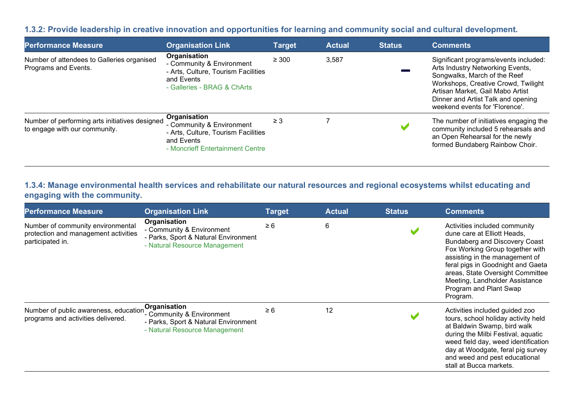#### 1.3.2: Provide leadership in creative innovation and opportunities for learning and community social and cultural development.

| <b>Performance Measure</b>                                                      | <b>Organisation Link</b>                                                                                                           | <b>Target</b> | <b>Actual</b> | <b>Status</b> | <b>Comments</b>                                                                                                                                                                                                                                              |
|---------------------------------------------------------------------------------|------------------------------------------------------------------------------------------------------------------------------------|---------------|---------------|---------------|--------------------------------------------------------------------------------------------------------------------------------------------------------------------------------------------------------------------------------------------------------------|
| Number of attendees to Galleries organised<br>Programs and Events.              | Organisation<br>- Community & Environment<br>- Arts, Culture, Tourism Facilities<br>and Events<br>- Galleries - BRAG & ChArts      | $\geq 300$    | 3,587         |               | Significant programs/events included:<br>Arts Industry Networking Events,<br>Songwalks, March of the Reef<br>Workshops, Creative Crowd, Twilight<br>Artisan Market, Gail Mabo Artist<br>Dinner and Artist Talk and opening<br>weekend events for 'Florence'. |
| Number of performing arts initiatives designed<br>to engage with our community. | Organisation<br>- Community & Environment<br>- Arts, Culture, Tourism Facilities<br>and Events<br>- Moncrieff Entertainment Centre | $\geq 3$      |               |               | The number of initiatives engaging the<br>community included 5 rehearsals and<br>an Open Rehearsal for the newly<br>formed Bundaberg Rainbow Choir.                                                                                                          |

## 1.3.4: Manage environmental health services and rehabilitate our natural resources and regional ecosystems whilst educating and engaging with the community.

| <b>Performance Measure</b>                                                                    | <b>Organisation Link</b>                                                                                           | <b>Target</b> | <b>Actual</b> | <b>Status</b> | <b>Comments</b>                                                                                                                                                                                                                                                                                                            |
|-----------------------------------------------------------------------------------------------|--------------------------------------------------------------------------------------------------------------------|---------------|---------------|---------------|----------------------------------------------------------------------------------------------------------------------------------------------------------------------------------------------------------------------------------------------------------------------------------------------------------------------------|
| Number of community environmental<br>protection and management activities<br>participated in. | Organisation<br>- Community & Environment<br>- Parks, Sport & Natural Environment<br>- Natural Resource Management | $\geq 6$      | 6             |               | Activities included community<br>dune care at Elliott Heads,<br><b>Bundaberg and Discovery Coast</b><br>Fox Working Group together with<br>assisting in the management of<br>feral pigs in Goodnight and Gaeta<br>areas, State Oversight Committee<br>Meeting, Landholder Assistance<br>Program and Plant Swap<br>Program. |
| Number of public awareness, education<br>programs and activities delivered.                   | Organisation<br>- Community & Environment<br>- Parks, Sport & Natural Environment<br>- Natural Resource Management | $\geq 6$      | 12            |               | Activities included guided zoo<br>tours, school holiday activity held<br>at Baldwin Swamp, bird walk<br>during the Milbi Festival, aquatic<br>weed field day, weed identification<br>day at Woodgate, feral pig survey<br>and weed and pest educational<br>stall at Bucca markets.                                         |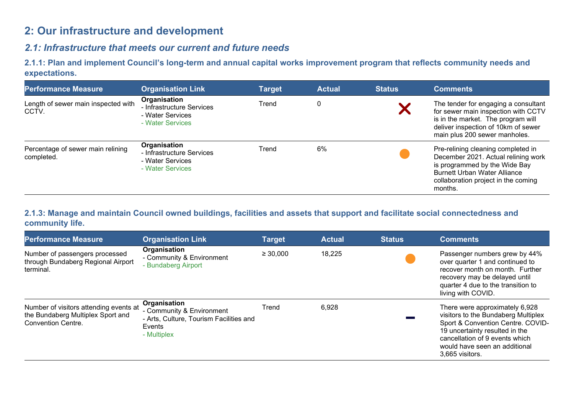# 2: Our infrastructure and development

# 2.1: Infrastructure that meets our current and future needs

2.1.1: Plan and implement Council's long-term and annual capital works improvement program that reflects community needs and expectations.

| <b>Performance Measure</b>                      | <b>Organisation Link</b>                                                          | <b>Target</b> | <b>Actual</b> | <b>Status</b> | <b>Comments</b>                                                                                                                                                                                     |
|-------------------------------------------------|-----------------------------------------------------------------------------------|---------------|---------------|---------------|-----------------------------------------------------------------------------------------------------------------------------------------------------------------------------------------------------|
| Length of sewer main inspected with<br>CCTV.    | Organisation<br>- Infrastructure Services<br>- Water Services<br>- Water Services | Trend         | 0             |               | The tender for engaging a consultant<br>for sewer main inspection with CCTV<br>is in the market. The program will<br>deliver inspection of 10km of sewer<br>main plus 200 sewer manholes.           |
| Percentage of sewer main relining<br>completed. | Organisation<br>- Infrastructure Services<br>- Water Services<br>- Water Services | Trend         | 6%            |               | Pre-relining cleaning completed in<br>December 2021. Actual relining work<br>is programmed by the Wide Bay<br><b>Burnett Urban Water Alliance</b><br>collaboration project in the coming<br>months. |

## 2.1.3: Manage and maintain Council owned buildings, facilities and assets that support and facilitate social connectedness and community life.

| <b>Performance Measure</b>                                                                               | <b>Organisation Link</b>                                                                                      | <b>Target</b> | <b>Actual</b> | <b>Status</b> | <b>Comments</b>                                                                                                                                                                                                                    |
|----------------------------------------------------------------------------------------------------------|---------------------------------------------------------------------------------------------------------------|---------------|---------------|---------------|------------------------------------------------------------------------------------------------------------------------------------------------------------------------------------------------------------------------------------|
| Number of passengers processed<br>through Bundaberg Regional Airport<br>terminal.                        | Organisation<br>- Community & Environment<br>- Bundaberg Airport                                              | $\geq 30,000$ | 18,225        |               | Passenger numbers grew by 44%<br>over quarter 1 and continued to<br>recover month on month. Further<br>recovery may be delayed until<br>quarter 4 due to the transition to<br>living with COVID.                                   |
| Number of visitors attending events at<br>the Bundaberg Multiplex Sport and<br><b>Convention Centre.</b> | Organisation<br>- Community & Environment<br>- Arts, Culture, Tourism Facilities and<br>Events<br>- Multiplex | Trend         | 6,928         |               | There were approximately 6,928<br>visitors to the Bundaberg Multiplex<br>Sport & Convention Centre. COVID-<br>19 uncertainty resulted in the<br>cancellation of 9 events which<br>would have seen an additional<br>3,665 visitors. |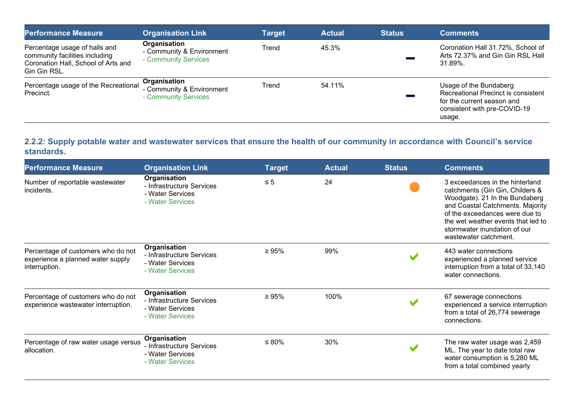| <b>Performance Measure</b>                                                                                             | <b>Organisation Link</b>                                          | Target | <b>Actual</b> | <b>Status</b> | <b>Comments</b>                                                                                                                       |
|------------------------------------------------------------------------------------------------------------------------|-------------------------------------------------------------------|--------|---------------|---------------|---------------------------------------------------------------------------------------------------------------------------------------|
| Percentage usage of halls and<br>community facilities including<br>Coronation Hall, School of Arts and<br>Gin Gin RSL. | Organisation<br>- Community & Environment<br>- Community Services | Trend  | 45.3%         |               | Coronation Hall 31.72%, School of<br>Arts 72.37% and Gin Gin RSL Hall<br>$31.89\%$ .                                                  |
| Percentage usage of the Recreational<br>Precinct.                                                                      | Organisation<br>- Community & Environment<br>- Community Services | Trend  | 54.11%        |               | Usage of the Bundaberg<br>Recreational Precinct is consistent<br>for the current season and<br>consistent with pre-COVID-19<br>usage. |

## 2.2.2: Supply potable water and wastewater services that ensure the health of our community in accordance with Council's service standards.

| <b>Performance Measure</b>                                                               | <b>Organisation Link</b>                                                          | <b>Target</b> | <b>Actual</b> | <b>Status</b> | <b>Comments</b>                                                                                                                                                                                                                                                           |
|------------------------------------------------------------------------------------------|-----------------------------------------------------------------------------------|---------------|---------------|---------------|---------------------------------------------------------------------------------------------------------------------------------------------------------------------------------------------------------------------------------------------------------------------------|
| Number of reportable wastewater<br>incidents.                                            | Organisation<br>- Infrastructure Services<br>- Water Services<br>- Water Services | $\leq 5$      | 24            |               | 3 exceedances in the hinterland<br>catchments (Gin Gin, Childers &<br>Woodgate). 21 In the Bundaberg<br>and Coastal Catchments. Majority<br>of the exceedances were due to<br>the wet weather events that led to<br>stormwater inundation of our<br>wastewater catchment. |
| Percentage of customers who do not<br>experience a planned water supply<br>interruption. | Organisation<br>- Infrastructure Services<br>- Water Services<br>- Water Services | $\geq 95\%$   | 99%           |               | 443 water connections<br>experienced a planned service<br>interruption from a total of 33,140<br>water connections.                                                                                                                                                       |
| Percentage of customers who do not<br>experience wastewater interruption.                | Organisation<br>- Infrastructure Services<br>- Water Services<br>- Water Services | $\geq 95\%$   | 100%          |               | 67 sewerage connections<br>experienced a service interruption<br>from a total of 26,774 sewerage<br>connections.                                                                                                                                                          |
| Percentage of raw water usage versus<br>allocation.                                      | Organisation<br>- Infrastructure Services<br>- Water Services<br>- Water Services | $\leq 80\%$   | 30%           |               | The raw water usage was 2,459<br>ML. The year to date total raw<br>water consumption is 5,280 ML<br>from a total combined yearly                                                                                                                                          |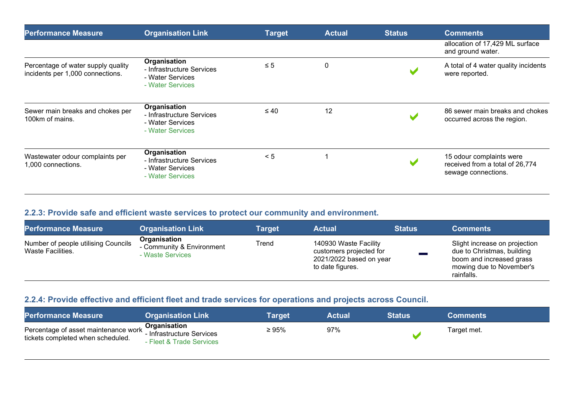| <b>Performance Measure</b>                                             | <b>Organisation Link</b>                                                          | <b>Target</b> | <b>Actual</b> | <b>Status</b> | <b>Comments</b>                                                                    |
|------------------------------------------------------------------------|-----------------------------------------------------------------------------------|---------------|---------------|---------------|------------------------------------------------------------------------------------|
|                                                                        |                                                                                   |               |               |               | allocation of 17,429 ML surface<br>and ground water.                               |
| Percentage of water supply quality<br>incidents per 1,000 connections. | Organisation<br>- Infrastructure Services<br>- Water Services<br>- Water Services | $\leq 5$      | 0             |               | A total of 4 water quality incidents<br>were reported.                             |
| Sewer main breaks and chokes per<br>100km of mains.                    | Organisation<br>- Infrastructure Services<br>- Water Services<br>- Water Services | $\leq 40$     | 12            |               | 86 sewer main breaks and chokes<br>occurred across the region.                     |
| Wastewater odour complaints per<br>1,000 connections.                  | Organisation<br>- Infrastructure Services<br>- Water Services<br>- Water Services | < 5           |               |               | 15 odour complaints were<br>received from a total of 26,774<br>sewage connections. |

## 2.2.3: Provide safe and efficient waste services to protect our community and environment.

| <b>Performance Measure</b>                               | <b>Organisation Link</b>                                      | <b>Target</b> | <b>Actual</b>                                                                                     | <b>Status</b> | <b>Comments</b>                                                                                                                   |
|----------------------------------------------------------|---------------------------------------------------------------|---------------|---------------------------------------------------------------------------------------------------|---------------|-----------------------------------------------------------------------------------------------------------------------------------|
| Number of people utilising Councils<br>Waste Facilities. | Organisation<br>- Community & Environment<br>- Waste Services | Trend         | 140930 Waste Facility<br>customers projected for<br>$2021/2022$ based on year<br>to date figures. |               | Slight increase on projection<br>due to Christmas, building<br>boom and increased grass<br>mowing due to November's<br>rainfalls. |

## 2.2.4: Provide effective and efficient fleet and trade services for operations and projects across Council.

| <b>Performance Measure</b>                                                                                                   | <b>Organisation Link</b> | Tarqet | <b>Actual</b> | <b>Status</b> | <b>Comments</b> |
|------------------------------------------------------------------------------------------------------------------------------|--------------------------|--------|---------------|---------------|-----------------|
| Percentage of asset maintenance work <b>Organisation</b><br>Finant part of the services<br>tickets completed when scheduled. | - Fleet & Trade Services | ≥ 95%  | 97%           |               | Target met.     |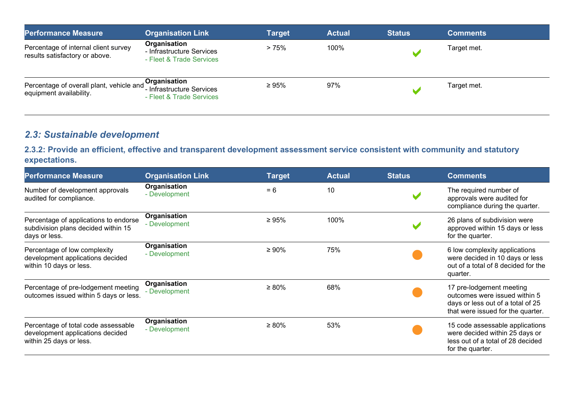| <b>Performance Measure</b>                                                              | <b>Organisation Link</b>                                              | <b>Target</b> | <b>Actual</b> | <b>Status</b> | <b>Comments</b> |
|-----------------------------------------------------------------------------------------|-----------------------------------------------------------------------|---------------|---------------|---------------|-----------------|
| Percentage of internal client survey<br>results satisfactory or above.                  | Organisation<br>- Infrastructure Services<br>- Fleet & Trade Services | >75%          | 100%          |               | Target met.     |
| Percentage of overall plant, vehicle and <b>Organisation</b><br>equipment availability. | - Infrastructure Services<br>- Fleet & Trade Services                 | $\geq 95\%$   | 97%           |               | Target met.     |

# 2.3: Sustainable development

## 2.3.2: Provide an efficient, effective and transparent development assessment service consistent with community and statutory expectations.

| <b>Performance Measure</b>                                                                         | <b>Organisation Link</b>      | <b>Target</b> | <b>Actual</b> | <b>Status</b> | <b>Comments</b>                                                                                                                     |
|----------------------------------------------------------------------------------------------------|-------------------------------|---------------|---------------|---------------|-------------------------------------------------------------------------------------------------------------------------------------|
| Number of development approvals<br>audited for compliance.                                         | Organisation<br>- Development | $= 6$         | 10            |               | The required number of<br>approvals were audited for<br>compliance during the quarter.                                              |
| Percentage of applications to endorse<br>subdivision plans decided within 15<br>days or less.      | Organisation<br>- Development | $\geq 95\%$   | 100%          |               | 26 plans of subdivision were<br>approved within 15 days or less<br>for the quarter.                                                 |
| Percentage of low complexity<br>development applications decided<br>within 10 days or less.        | Organisation<br>- Development | $\geq 90\%$   | 75%           |               | 6 low complexity applications<br>were decided in 10 days or less<br>out of a total of 8 decided for the<br>quarter.                 |
| Percentage of pre-lodgement meeting<br>outcomes issued within 5 days or less.                      | Organisation<br>- Development | $\geq 80\%$   | 68%           |               | 17 pre-lodgement meeting<br>outcomes were issued within 5<br>days or less out of a total of 25<br>that were issued for the quarter. |
| Percentage of total code assessable<br>development applications decided<br>within 25 days or less. | Organisation<br>- Development | $\geq 80\%$   | 53%           |               | 15 code assessable applications<br>were decided within 25 days or<br>less out of a total of 28 decided<br>for the quarter.          |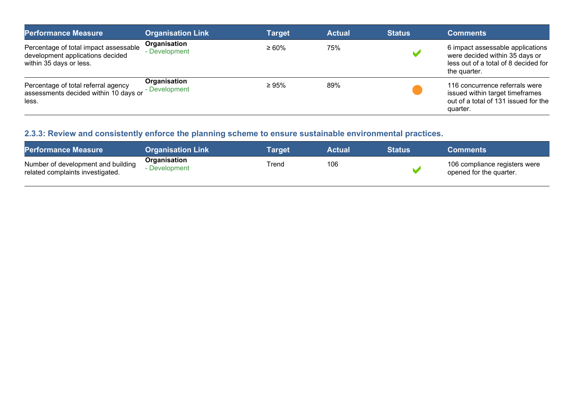| <b>Performance Measure</b>                                                                           | <b>Organisation Link</b>      | <b>Target</b> | <b>Actual</b> | <b>Status</b> | <b>Comments</b>                                                                                                            |
|------------------------------------------------------------------------------------------------------|-------------------------------|---------------|---------------|---------------|----------------------------------------------------------------------------------------------------------------------------|
| Percentage of total impact assessable<br>development applications decided<br>within 35 days or less. | Organisation<br>- Development | $\geq 60\%$   | 75%           |               | 6 impact assessable applications<br>were decided within 35 days or<br>less out of a total of 8 decided for<br>the quarter. |
| Percentage of total referral agency<br>assessments decided within 10 days or<br>less.                | Organisation<br>- Development | $\geq 95\%$   | 89%           |               | 116 concurrence referrals were<br>issued within target timeframes<br>out of a total of 131 issued for the<br>quarter.      |

# 2.3.3: Review and consistently enforce the planning scheme to ensure sustainable environmental practices.

| <b>Performance Measure</b>                                             | <b>Organisation Link</b>    | Tarɑet | <b>Actual</b> | <b>Status</b> | <b>Comments</b>                                          |
|------------------------------------------------------------------------|-----------------------------|--------|---------------|---------------|----------------------------------------------------------|
| Number of development and building<br>related complaints investigated. | Organisation<br>Development | Trend  | 106           |               | 106 compliance registers were<br>opened for the quarter. |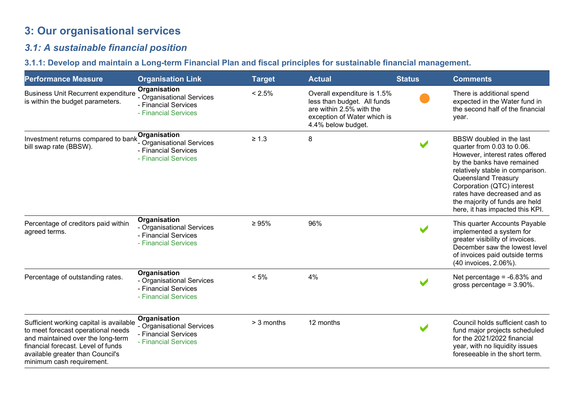# 3: Our organisational services

## 3.1: A sustainable financial position

# 3.1.1: Develop and maintain a Long-term Financial Plan and fiscal principles for sustainable financial management.

| <b>Performance Measure</b>                                                                                                                                                                                                | <b>Organisation Link</b>                                                                  | <b>Target</b> | <b>Actual</b>                                                                                                                               | <b>Status</b> | <b>Comments</b>                                                                                                                                                                                                                                                                                                      |
|---------------------------------------------------------------------------------------------------------------------------------------------------------------------------------------------------------------------------|-------------------------------------------------------------------------------------------|---------------|---------------------------------------------------------------------------------------------------------------------------------------------|---------------|----------------------------------------------------------------------------------------------------------------------------------------------------------------------------------------------------------------------------------------------------------------------------------------------------------------------|
| <b>Business Unit Recurrent expenditure</b><br>is within the budget parameters.                                                                                                                                            | Organisation<br>- Organisational Services<br>- Financial Services<br>- Financial Services | $< 2.5\%$     | Overall expenditure is 1.5%<br>less than budget. All funds<br>are within 2.5% with the<br>exception of Water which is<br>4.4% below budget. |               | There is additional spend<br>expected in the Water fund in<br>the second half of the financial<br>year.                                                                                                                                                                                                              |
| Investment returns compared to bank<br>bill swap rate (BBSW).                                                                                                                                                             | Organisation<br>- Organisational Services<br>- Financial Services<br>- Financial Services | $\geq 1.3$    | 8                                                                                                                                           |               | BBSW doubled in the last<br>quarter from 0.03 to 0.06.<br>However, interest rates offered<br>by the banks have remained<br>relatively stable in comparison.<br>Queensland Treasury<br>Corporation (QTC) interest<br>rates have decreased and as<br>the majority of funds are held<br>here, it has impacted this KPI. |
| Percentage of creditors paid within<br>agreed terms.                                                                                                                                                                      | Organisation<br>- Organisational Services<br>- Financial Services<br>- Financial Services | $\geq 95\%$   | 96%                                                                                                                                         |               | This quarter Accounts Payable<br>implemented a system for<br>greater visibility of invoices.<br>December saw the lowest level<br>of invoices paid outside terms<br>(40 invoices, 2.06%).                                                                                                                             |
| Percentage of outstanding rates.                                                                                                                                                                                          | Organisation<br>- Organisational Services<br>- Financial Services<br>- Financial Services | $< 5\%$       | 4%                                                                                                                                          |               | Net percentage = $-6.83\%$ and<br>gross percentage = $3.90\%$ .                                                                                                                                                                                                                                                      |
| Sufficient working capital is available<br>to meet forecast operational needs<br>and maintained over the long-term<br>financial forecast. Level of funds<br>available greater than Council's<br>minimum cash requirement. | Organisation<br>- Organisational Services<br>- Financial Services<br>- Financial Services | > 3 months    | 12 months                                                                                                                                   |               | Council holds sufficient cash to<br>fund major projects scheduled<br>for the 2021/2022 financial<br>year, with no liquidity issues<br>foreseeable in the short term.                                                                                                                                                 |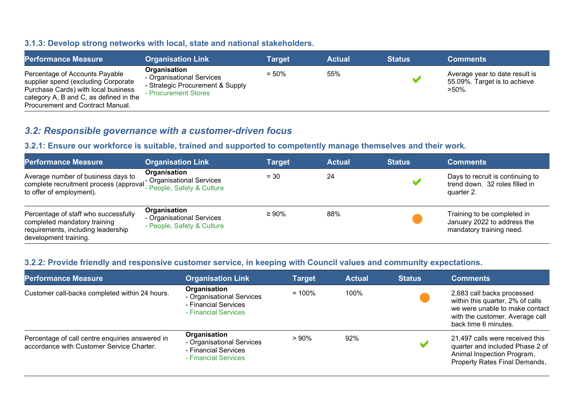#### 3.1.3: Develop strong networks with local, state and national stakeholders.

| <b>Performance Measure</b>                                                                                                                                                                 | <b>Organisation Link</b>                                                                              | Target   | <b>Actual</b> | <b>Status</b> | <b>Comments</b>                                                             |
|--------------------------------------------------------------------------------------------------------------------------------------------------------------------------------------------|-------------------------------------------------------------------------------------------------------|----------|---------------|---------------|-----------------------------------------------------------------------------|
| Percentage of Accounts Payable<br>supplier spend (excluding Corporate<br>Purchase Cards) with local business<br>category A, B and C, as defined in the<br>Procurement and Contract Manual. | Organisation<br>- Organisational Services<br>- Strategic Procurement & Supply<br>- Procurement Stores | $= 50\%$ | 55%           |               | Average year to date result is<br>55.09%. Target is to achieve<br>$>50\%$ . |

## 3.2: Responsible governance with a customer-driven focus

## 3.2.1: Ensure our workforce is suitable, trained and supported to competently manage themselves and their work.

| <b>Performance Measure</b>                                                                                                          | <b>Organisation Link</b>                                                | <b>Target</b> | <b>Actual</b> | <b>Status</b> | <b>Comments</b>                                                                        |
|-------------------------------------------------------------------------------------------------------------------------------------|-------------------------------------------------------------------------|---------------|---------------|---------------|----------------------------------------------------------------------------------------|
| Average number of business days to<br>complete recruitment process (approval<br>to offer of employment).                            | Organisation<br>- Organisational Services<br>- People, Safety & Culture | $= 30$        | 24            |               | Days to recruit is continuing to<br>trend down. 32 roles filled in<br>quarter 2.       |
| Percentage of staff who successfully<br>completed mandatory training<br>requirements, including leadership<br>development training. | Organisation<br>- Organisational Services<br>- People, Safety & Culture | $\geq 90\%$   | 88%           |               | Training to be completed in<br>January 2022 to address the<br>mandatory training need. |

#### 3.2.2: Provide friendly and responsive customer service, in keeping with Council values and community expectations.

| <b>Performance Measure</b>                                                                   | <b>Organisation Link</b>                                                                  | <b>Target</b> | <b>Actual</b> | <b>Status</b> | <b>Comments</b>                                                                                                                                             |
|----------------------------------------------------------------------------------------------|-------------------------------------------------------------------------------------------|---------------|---------------|---------------|-------------------------------------------------------------------------------------------------------------------------------------------------------------|
| Customer call-backs completed within 24 hours.                                               | Organisation<br>- Organisational Services<br>- Financial Services<br>- Financial Services | $= 100\%$     | 100%          |               | 2,683 call backs processed<br>within this quarter, 2% of calls<br>we were unable to make contact<br>with the customer. Average call<br>back time 6 minutes. |
| Percentage of call centre enquiries answered in<br>accordance with Customer Service Charter. | Organisation<br>- Organisational Services<br>- Financial Services<br>- Financial Services | >90%          | 92%           |               | 21,497 calls were received this<br>quarter and included Phase 2 of<br>Animal Inspection Program,<br>Property Rates Final Demands,                           |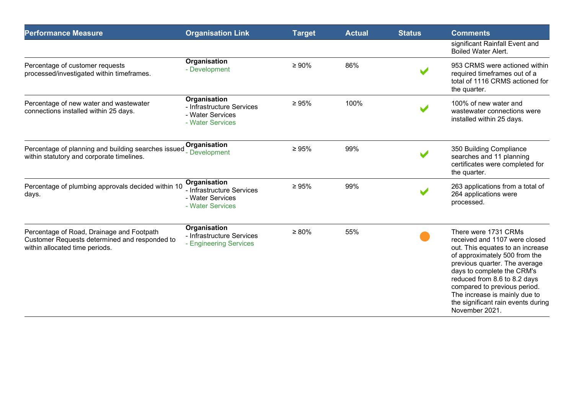| <b>Performance Measure</b>                                                                                                   | <b>Organisation Link</b>                                                                 | <b>Target</b> | <b>Actual</b> | <b>Status</b> | <b>Comments</b>                                                                                                                                                                                                                                                                                                                                    |
|------------------------------------------------------------------------------------------------------------------------------|------------------------------------------------------------------------------------------|---------------|---------------|---------------|----------------------------------------------------------------------------------------------------------------------------------------------------------------------------------------------------------------------------------------------------------------------------------------------------------------------------------------------------|
|                                                                                                                              |                                                                                          |               |               |               | significant Rainfall Event and<br><b>Boiled Water Alert.</b>                                                                                                                                                                                                                                                                                       |
| Percentage of customer requests<br>processed/investigated within timeframes.                                                 | Organisation<br>- Development                                                            | $\geq 90\%$   | 86%           |               | 953 CRMS were actioned within<br>required timeframes out of a<br>total of 1116 CRMS actioned for<br>the quarter.                                                                                                                                                                                                                                   |
| Percentage of new water and wastewater<br>connections installed within 25 days.                                              | <b>Organisation</b><br>- Infrastructure Services<br>- Water Services<br>- Water Services | $\geq 95\%$   | 100%          |               | 100% of new water and<br>wastewater connections were<br>installed within 25 days.                                                                                                                                                                                                                                                                  |
| Percentage of planning and building searches issued<br>within statutory and corporate timelines.                             | Organisation<br>- Development                                                            | $\geq 95\%$   | 99%           |               | 350 Building Compliance<br>searches and 11 planning<br>certificates were completed for<br>the quarter.                                                                                                                                                                                                                                             |
| Percentage of plumbing approvals decided within 10<br>days.                                                                  | Organisation<br>- Infrastructure Services<br>- Water Services<br>- Water Services        | $\geq 95\%$   | 99%           |               | 263 applications from a total of<br>264 applications were<br>processed.                                                                                                                                                                                                                                                                            |
| Percentage of Road, Drainage and Footpath<br>Customer Requests determined and responded to<br>within allocated time periods. | <b>Organisation</b><br>- Infrastructure Services<br>- Engineering Services               | $\geq 80\%$   | 55%           |               | There were 1731 CRMs<br>received and 1107 were closed<br>out. This equates to an increase<br>of approximately 500 from the<br>previous quarter. The average<br>days to complete the CRM's<br>reduced from 8.6 to 8.2 days<br>compared to previous period.<br>The increase is mainly due to<br>the significant rain events during<br>November 2021. |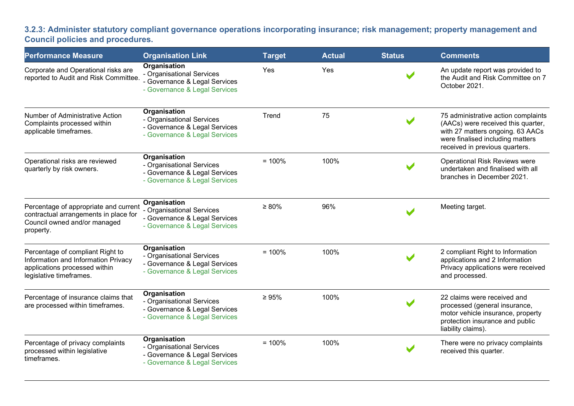3.2.3: Administer statutory compliant governance operations incorporating insurance; risk management; property management and Council policies and procedures.

| <b>Performance Measure</b>                                                                                                          | <b>Organisation Link</b>                                                                                    | <b>Target</b> | <b>Actual</b> | <b>Status</b> | <b>Comments</b>                                                                                                                                                                     |
|-------------------------------------------------------------------------------------------------------------------------------------|-------------------------------------------------------------------------------------------------------------|---------------|---------------|---------------|-------------------------------------------------------------------------------------------------------------------------------------------------------------------------------------|
| Corporate and Operational risks are<br>reported to Audit and Risk Committee.                                                        | Organisation<br>- Organisational Services<br>- Governance & Legal Services<br>- Governance & Legal Services | Yes           | Yes           |               | An update report was provided to<br>the Audit and Risk Committee on 7<br>October 2021.                                                                                              |
| Number of Administrative Action<br>Complaints processed within<br>applicable timeframes.                                            | Organisation<br>- Organisational Services<br>- Governance & Legal Services<br>- Governance & Legal Services | Trend         | 75            |               | 75 administrative action complaints<br>(AACs) were received this quarter,<br>with 27 matters ongoing. 63 AACs<br>were finalised including matters<br>received in previous quarters. |
| Operational risks are reviewed<br>quarterly by risk owners.                                                                         | Organisation<br>- Organisational Services<br>- Governance & Legal Services<br>- Governance & Legal Services | $= 100%$      | 100%          |               | Operational Risk Reviews were<br>undertaken and finalised with all<br>branches in December 2021.                                                                                    |
| Percentage of appropriate and current<br>contractual arrangements in place for<br>Council owned and/or managed<br>property.         | Organisation<br>- Organisational Services<br>- Governance & Legal Services<br>- Governance & Legal Services | $\geq 80\%$   | 96%           |               | Meeting target.                                                                                                                                                                     |
| Percentage of compliant Right to<br>Information and Information Privacy<br>applications processed within<br>legislative timeframes. | Organisation<br>- Organisational Services<br>- Governance & Legal Services<br>- Governance & Legal Services | $= 100%$      | 100%          |               | 2 compliant Right to Information<br>applications and 2 Information<br>Privacy applications were received<br>and processed.                                                          |
| Percentage of insurance claims that<br>are processed within timeframes.                                                             | Organisation<br>- Organisational Services<br>- Governance & Legal Services<br>- Governance & Legal Services | $\geq 95\%$   | 100%          |               | 22 claims were received and<br>processed (general insurance,<br>motor vehicle insurance, property<br>protection insurance and public<br>liability claims).                          |
| Percentage of privacy complaints<br>processed within legislative<br>timeframes.                                                     | Organisation<br>- Organisational Services<br>- Governance & Legal Services<br>- Governance & Legal Services | $= 100%$      | 100%          |               | There were no privacy complaints<br>received this quarter.                                                                                                                          |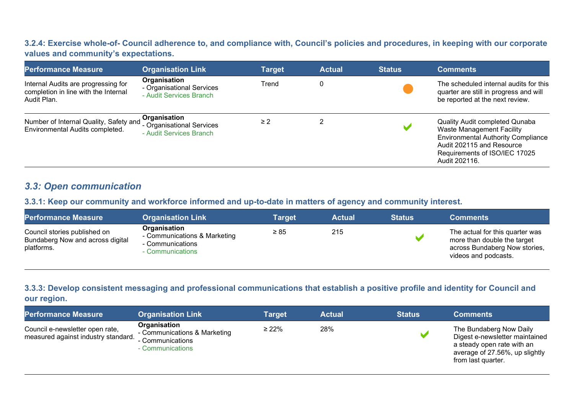#### 3.2.4: Exercise whole-of- Council adherence to, and compliance with, Council's policies and procedures, in keeping with our corporate values and community's expectations.

| <b>Performance Measure</b>                                                                 | <b>Organisation Link</b>                                             | <b>Target</b> | <b>Actual</b> | <b>Status</b> | <b>Comments</b>                                                                                                                                                                                |
|--------------------------------------------------------------------------------------------|----------------------------------------------------------------------|---------------|---------------|---------------|------------------------------------------------------------------------------------------------------------------------------------------------------------------------------------------------|
| Internal Audits are progressing for<br>completion in line with the Internal<br>Audit Plan. | Organisation<br>- Organisational Services<br>- Audit Services Branch | Trend         | 0             |               | The scheduled internal audits for this<br>quarter are still in progress and will<br>be reported at the next review.                                                                            |
| Number of Internal Quality, Safety and<br>Environmental Audits completed.                  | Organisation<br>- Organisational Services<br>- Audit Services Branch | $\geq$ 2      |               |               | Quality Audit completed Qunaba<br><b>Waste Management Facility</b><br><b>Environmental Authority Compliance</b><br>Audit 202115 and Resource<br>Requirements of ISO/IEC 17025<br>Audit 202116. |

## 3.3: Open communication

#### 3.3.1: Keep our community and workforce informed and up-to-date in matters of agency and community interest.

| <b>Performance Measure</b>                                                     | <b>Organisation Link</b>                                                             | Target    | <b>Actual</b> | <b>Status</b> | <b>Comments</b>                                                                                                         |
|--------------------------------------------------------------------------------|--------------------------------------------------------------------------------------|-----------|---------------|---------------|-------------------------------------------------------------------------------------------------------------------------|
| Council stories published on<br>Bundaberg Now and across digital<br>platforms. | Organisation<br>- Communications & Marketing<br>- Communications<br>⋅ Communications | $\geq 85$ | 215           |               | The actual for this quarter was<br>more than double the target<br>across Bundaberg Now stories,<br>videos and podcasts. |

#### 3.3.3: Develop consistent messaging and professional communications that establish a positive profile and identity for Council and our region.

| <b>Performance Measure</b>                                             | <b>Organisation Link</b>                                                             | <b>Target</b> | <b>Actual</b> | <b>Status</b> | <b>Comments</b>                                                                                                                                 |
|------------------------------------------------------------------------|--------------------------------------------------------------------------------------|---------------|---------------|---------------|-------------------------------------------------------------------------------------------------------------------------------------------------|
| Council e-newsletter open rate,<br>measured against industry standard. | Organisation<br>- Communications & Marketing<br>- Communications<br>- Communications | $\geq 22\%$   | 28%           |               | The Bundaberg Now Daily<br>Digest e-newsletter maintained<br>a steady open rate with an<br>average of 27.56%, up slightly<br>from last quarter. |